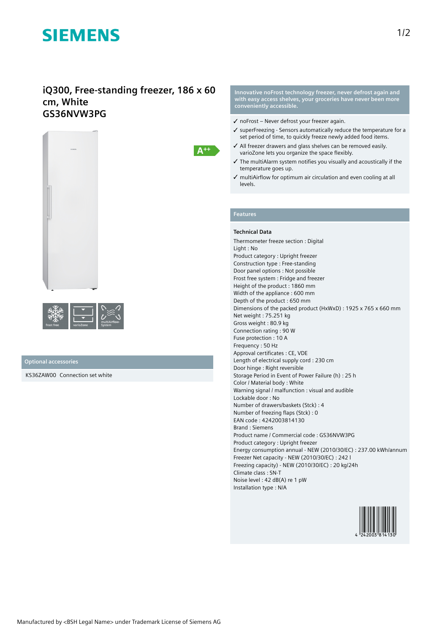# **SIEMENS**

# **iQ300, Free-standing freezer, 186 x 60 cm, White GS36NVW3PG**



| frost free | multiAirflow- |
|------------|---------------|
| varioZone  | System        |

# **Optional accessories**

KS36ZAW00 Connection set white

**Innovative noFrost technology freezer, never defrost again and with easy access shelves, your groceries have never been more conveniently accessible.**

- ✓ noFrost Never defrost your freezer again.
- ✓ superFreezing Sensors automatically reduce the temperature for a set period of time, to quickly freeze newly added food items.
- ✓ All freezer drawers and glass shelves can be removed easily. varioZone lets you organize the space flexibly.
- ✓ The multiAlarm system notifies you visually and acoustically if the temperature goes up.
- ✓ multiAirflow for optimum air circulation and even cooling at all levels.

# **Features**

 $A^{++}$ 

## **Technical Data**

Thermometer freeze section : Digital Light : No Product category : Upright freezer Construction type : Free-standing Door panel options : Not possible Frost free system : Fridge and freezer Height of the product : 1860 mm Width of the appliance : 600 mm Depth of the product : 650 mm Dimensions of the packed product (HxWxD) : 1925 x 765 x 660 mm Net weight : 75.251 kg Gross weight : 80.9 kg Connection rating : 90 W Fuse protection : 10 A Frequency : 50 Hz Approval certificates : CE, VDE Length of electrical supply cord : 230 cm Door hinge : Right reversible Storage Period in Event of Power Failure (h) : 25 h Color / Material body : White Warning signal / malfunction : visual and audible Lockable door : No Number of drawers/baskets (Stck) : 4 Number of freezing flaps (Stck) : 0 EAN code : 4242003814130 Brand : Siemens Product name / Commercial code : GS36NVW3PG Product category : Upright freezer Energy consumption annual - NEW (2010/30/EC) : 237.00 kWh/annum Freezer Net capacity - NEW (2010/30/EC) : 242 l Freezing capacity) - NEW (2010/30/EC) : 20 kg/24h Climate class : SN-T Noise level : 42 dB(A) re 1 pW Installation type : N/A